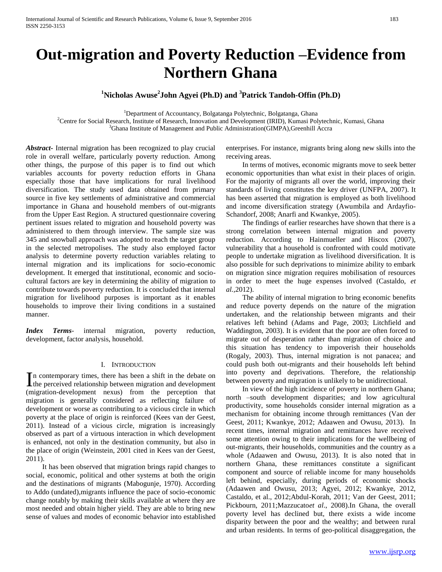# **Out-migration and Poverty Reduction –Evidence from Northern Ghana**

## **<sup>1</sup>Nicholas Awuse<sup>2</sup> John Agyei (Ph.D) and <sup>3</sup>Patrick Tandoh-Offin (Ph.D)**

<sup>1</sup>Department of Accountancy, Bolgatanga Polytechnic, Bolgatanga, Ghana

<sup>2</sup>Centre for Social Research, Institute of Research, Innovation and Development (IRID), Kumasi Polytechnic, Kumasi, Ghana <sup>3</sup>Ghana Institute of Management and Public Administration(GIMPA), Greenhill Accra

*Abstract***-** Internal migration has been recognized to play crucial role in overall welfare, particularly poverty reduction. Among other things, the purpose of this paper is to find out which variables accounts for poverty reduction efforts in Ghana especially those that have implications for rural livelihood diversification. The study used data obtained from primary source in five key settlements of administrative and commercial importance in Ghana and household members of out-migrants from the Upper East Region. A structured questionnaire covering pertinent issues related to migration and household poverty was administered to them through interview. The sample size was 345 and snowball approach was adopted to reach the target group in the selected metropolises. The study also employed factor analysis to determine poverty reduction variables relating to internal migration and its implications for socio-economic development. It emerged that institutional, economic and sociocultural factors are key in determining the ability of migration to contribute towards poverty reduction. It is concluded that internal migration for livelihood purposes is important as it enables households to improve their living conditions in a sustained manner.

*Index Terms*- internal migration, poverty reduction, development, factor analysis, household.

#### I. INTRODUCTION

n contemporary times, there has been a shift in the debate on In contemporary times, there has been a shift in the debate on the perceived relationship between migration and development (migration-development nexus) from the perception that migration is generally considered as reflecting failure of development or worse as contributing to a vicious circle in which poverty at the place of origin is reinforced (Kees van der Geest, 2011). Instead of a vicious circle, migration is increasingly observed as part of a virtuous interaction in which development is enhanced, not only in the destination community, but also in the place of origin (Weinstein, 2001 cited in Kees van der Geest, 2011).

 It has been observed that migration brings rapid changes to social, economic, political and other systems at both the origin and the destinations of migrants (Mabogunje, 1970). According to Addo (undated),migrants influence the pace of socio-economic change notably by making their skills available at where they are most needed and obtain higher yield. They are able to bring new sense of values and modes of economic behavior into established enterprises. For instance, migrants bring along new skills into the receiving areas.

 In terms of motives, economic migrants move to seek better economic opportunities than what exist in their places of origin. For the majority of migrants all over the world, improving their standards of living constitutes the key driver (UNFPA, 2007). It has been asserted that migration is employed as both livelihood and income diversification strategy (Awumbila and Ardayfio-Schandorf, 2008; Anarfi and Kwankye, 2005).

 The findings of earlier researches have shown that there is a strong correlation between internal migration and poverty reduction. According to Hainmueller and Hiscox (2007), vulnerability that a household is confronted with could motivate people to undertake migration as livelihood diversification. It is also possible for such deprivations to minimize ability to embark on migration since migration requires mobilisation of resources in order to meet the huge expenses involved (Castaldo, *et al.*,2012).

 The ability of internal migration to bring economic benefits and reduce poverty depends on the nature of the migration undertaken, and the relationship between migrants and their relatives left behind (Adams and Page, 2003; Litchfield and Waddington, 2003). It is evident that the poor are often forced to migrate out of desperation rather than migration of choice and this situation has tendency to impoverish their households (Rogaly, 2003). Thus, internal migration is not panacea; and could push both out-migrants and their households left behind into poverty and deprivations. Therefore, the relationship between poverty and migration is unlikely to be unidirectional.

 In view of the high incidence of poverty in northern Ghana; north –south development disparities; and low agricultural productivity, some households consider internal migration as a mechanism for obtaining income through remittances (Van der Geest, 2011; Kwankye, 2012; Adaawen and Owusu, 2013). In recent times, internal migration and remittances have received some attention owing to their implications for the wellbeing of out-migrants, their households, communities and the country as a whole (Adaawen and Owusu, 2013). It is also noted that in northern Ghana, these remittances constitute a significant component and source of reliable income for many households left behind, especially, during periods of economic shocks (Adaawen and Owusu, 2013; Agyei, 2012; Kwankye, 2012, Castaldo, et al., 2012;Abdul-Korah, 2011; Van der Geest, 2011; Pickbourn, 2011;Mazzucato*et al*., 2008).In Ghana, the overall poverty level has declined but, there exists a wide income disparity between the poor and the wealthy; and between rural and urban residents. In terms of geo-political disaggregation, the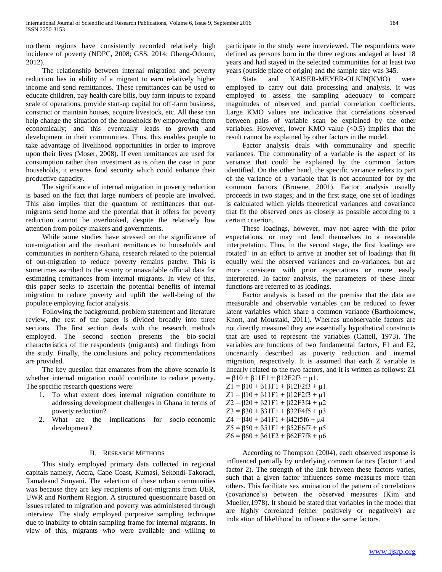northern regions have consistently recorded relatively high incidence of poverty (NDPC, 2008; GSS, 2014; Obeng-Odoom, 2012).

 The relationship between internal migration and poverty reduction lies in ability of a migrant to earn relatively higher income and send remittances. These remittances can be used to educate children, pay health care bills, buy farm inputs to expand scale of operations, provide start-up capital for off-farm business, construct or maintain houses, acquire livestock, etc. All these can help change the situation of the households by empowering them economically; and this eventually leads to growth and development in their communities. Thus, this enables people to take advantage of livelihood opportunities in order to improve upon their lives (Moser, 2008). If even remittances are used for consumption rather than investment as is often the case in poor households, it ensures food security which could enhance their productive capacity.

 The significance of internal migration in poverty reduction is based on the fact that large numbers of people are involved. This also implies that the quantum of remittances that outmigrants send home and the potential that it offers for poverty reduction cannot be overlooked, despite the relatively low attention from policy-makers and governments.

 While some studies have stressed on the significance of out-migration and the resultant remittances to households and communities in northern Ghana, research related to the potential of out-migration to reduce poverty remains patchy. This is sometimes ascribed to the scanty or unavailable official data for estimating remittances from internal migrants. In view of this, this paper seeks to ascertain the potential benefits of internal migration to reduce poverty and uplift the well-being of the populace employing factor analysis.

 Following the background, problem statement and literature review, the rest of the paper is divided broadly into three sections. The first section deals with the research methods employed. The second section presents the bio-social characteristics of the respondents (migrants) and findings from the study. Finally, the conclusions and policy recommendations are provided.

 The key question that emanates from the above scenario is whether internal migration could contribute to reduce poverty. The specific research questions were:

- 1. To what extent does internal migration contribute to addressing development challenges in Ghana in terms of poverty reduction?
- 2. What are the implications for socio-economic development?

## II. RESEARCH METHODS

 This study employed primary data collected in regional capitals namely, Accra, Cape Coast, Kumasi, Sekondi-Takoradi, Tamaleand Sunyani. The selection of these urban communities was because they are key recipients of out-migrants from UER, UWR and Northern Region. A structured questionnaire based on issues related to migration and poverty was administered through interview. The study employed purposive sampling technique due to inability to obtain sampling frame for internal migrants. In view of this, migrants who were available and willing to

participate in the study were interviewed. The respondents were defined as persons born in the three regions andaged at least 18 years and had stayed in the selected communities for at least two years (outside place of origin) and the sample size was 345.

 Stata and KAISER-MEYER-OLKIN(KMO) were employed to carry out data processing and analysis. It was employed to assess the sampling adequacy to compare magnitudes of observed and partial correlation coefficients. Large KMO values are indicative that correlations observed between pairs of variable scan be explained by the other variables. However, lower KMO value  $(<0.5)$  implies that the result cannot be explained by other factors in the model.

 Factor analysis deals with communality and specific variances. The communality of a variable is the aspect of its variance that could be explained by the common factors identified. On the other hand, the specific variance refers to part of the variance of a variable that is not accounted for by the common factors (Browne, 2001). Factor analysis usually proceeds in two stages; and in the first stage, one set of loadings is calculated which yields theoretical variances and covariance that fit the observed ones as closely as possible according to a certain criterion*.* 

 These loadings, however, may not agree with the prior expectations, or may not lend themselves to a reasonable interpretation. Thus, in the second stage, the first loadings are rotated" in an effort to arrive at another set of loadings that fit equally well the observed variances and co-variances, but are more consistent with prior expectations or more easily interpreted. In factor analysis, the parameters of these linear functions are referred to as loadings*.*

 Factor analysis is based on the premise that the data are measurable and observable variables can be reduced to fewer latent variables which share a common variance (Bartholomew, Knott, and Moustaki, 2011). Whereas unobservable factors are not directly measured they are essentially hypothetical constructs that are used to represent the variables (Cattell, 1973). The variables are functions of two fundamental factors, F1 and F2, uncertainly described as poverty reduction and internal migration, respectively. It is assumed that each Z variable is linearly related to the two factors, and it is written as follows: Z1  $= \beta 10 + \beta 11F1 + \beta 12F2f3 + \mu 1.$ 

 $Z1 = \beta 10 + \beta 11FI + \beta 12F2f3 + \mu 1.$  $Z1 = \beta 10 + \beta 11F1 + \beta 12F2f3 + \mu 1$  $Z2 = \beta 20 + \beta 21F1 + \beta 22F3f4 + \mu 2$  $Z3 = \beta 30 + \beta 31F1 + \beta 32F4f5 + \mu 3$  $Z4 = \beta 40 + \beta 41F1 + \beta 42f5f6 + \mu 4$  $Z5 = \beta 50 + \beta 51F1 + \beta 52F6f7 + \mu 5$  $Z6 = \beta 60 + \beta 61F2 + \beta 62F7f8 + \mu 6$ 

 According to Thompson (2004), each observed response is influenced partially by underlying common factors (factor 1 and factor 2). The strength of the link between these factors varies, such that a given factor influences some measures more than others. This facilitate sex amination of the pattern of correlations (covariance's) between the observed measures (Kim and Mueller,1978). It should be stated that variables in the model that are highly correlated (either positively or negatively) are indication of likelihood to influence the same factors.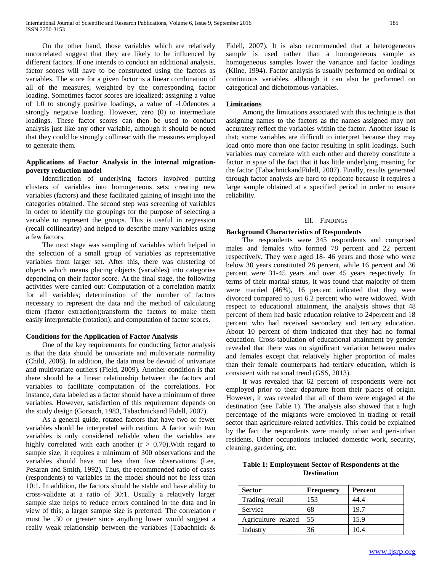On the other hand, those variables which are relatively uncorrelated suggest that they are likely to be influenced by different factors. If one intends to conduct an additional analysis, factor scores will have to be constructed using the factors as variables. The score for a given factor is a linear combination of all of the measures, weighted by the corresponding factor loading. Sometimes factor scores are idealized; assigning a value of 1.0 to strongly positive loadings, a value of -1.0denotes a strongly negative loading. However, zero (0) to intermediate loadings. These factor scores can then be used to conduct analysis just like any other variable, although it should be noted that they could be strongly collinear with the measures employed to generate them.

## **Applications of Factor Analysis in the internal migrationpoverty reduction model**

 Identification of underlying factors involved putting **c**lusters of variables into homogeneous sets; creating new variables (factors) and these facilitated gaining of insight into the categories obtained. The second step was screening of variables in order to identify the groupings for the purpose of selecting a variable to represent the groups. This is useful in regression (recall collinearity) and helped to describe many variables using a few factors.

 The next stage was sampling of variables which helped in the selection of a small group of variables as representative variables from larger set. After this, there was clustering of objects which means placing objects (variables) into categories depending on their factor score. At the final stage, the following activities were carried out: Computation of a correlation matrix for all variables; determination of the number of factors necessary to represent the data and the method of calculating them (factor extraction);transform the factors to make them easily interpretable (rotation); and computation of factor scores.

#### **Conditions for the Application of Factor Analysis**

 One of the key requirements for conducting factor analysis is that the data should be univariate and multivariate normality (Child, 2006). In addition, the data must be devoid of univariate and multivariate outliers (Field, 2009). Another condition is that there should be a linear relationship between the factors and variables to facilitate computation of the correlations. For instance, data labeled as a factor should have a minimum of three variables. However, satisfaction of this requirement depends on the study design (Gorsuch, 1983, Tabachnickand Fidell, 2007).

 As a general guide, rotated factors that have two or fewer variables should be interpreted with caution. A factor with two variables is only considered reliable when the variables are highly correlated with each another  $(r > 0.70)$ . With regard to sample size, it requires a minimum of 300 observations and the variables should have not less than five observations (Lee, Pesaran and Smith, 1992). Thus, the recommended ratio of cases (respondents) to variables in the model should not be less than 10:1. In addition, the factors should be stable and have ability to cross-validate at a ratio of 30:1. Usually a relatively larger sample size helps to reduce errors contained in the data and in view of this; a larger sample size is preferred. The correlation *r*  must be .30 or greater since anything lower would suggest a really weak relationship between the variables (Tabachnick & Fidell, 2007). It is also recommended that a heterogeneous sample is used rather than a homogeneous sample as homogeneous samples lower the variance and factor loadings (Kline, 1994). Factor analysis is usually performed on ordinal or continuous variables, although it can also be performed on categorical and dichotomous variables.

#### **Limitations**

 Among the limitations associated with this technique is that assigning names to the factors as the names assigned may not accurately reflect the variables within the factor. Another issue is that; some variables are difficult to interpret because they may load onto more than one factor resulting in split loadings. Such variables may correlate with each other and thereby constitute a factor in spite of the fact that it has little underlying meaning for the factor (TabachnickandFidell, 2007). Finally, results generated through factor analysis are hard to replicate because it requires a large sample obtained at a specified period in order to ensure reliability.

#### III. FINDINGS

#### **Background Characteristics of Respondents**

 The respondents were 345 respondents and comprised males and females who formed 78 percent and 22 percent respectively. They were aged 18- 46 years and those who were below 30 years constituted 28 percent, while 16 percent and 36 percent were 31-45 years and over 45 years respectively. In terms of their marital status, it was found that majority of them were married (46%), 16 percent indicated that they were divorced compared to just 6.2 percent who were widowed. With respect to educational attainment, the analysis shows that 48 percent of them had basic education relative to 24percent and 18 percent who had received secondary and tertiary education. About 10 percent of them indicated that they had no formal education. Cross-tabulation of educational attainment by gender revealed that there was no significant variation between males and females except that relatively higher proportion of males than their female counterparts had tertiary education, which is consistent with national trend (GSS, 2013).

 It was revealed that 62 percent of respondents were not employed prior to their departure from their places of origin. However, it was revealed that all of them were engaged at the destination (see Table 1). The analysis also showed that a high percentage of the migrants were employed in trading or retail sector than agriculture-related activities. This could be explained by the fact the respondents were mainly urban and peri-urban residents. Other occupations included domestic work, security, cleaning, gardening, etc.

## **Table 1: Employment Sector of Respondents at the Destination**

| <b>Sector</b>       | <b>Frequency</b> | Percent |
|---------------------|------------------|---------|
| Trading /retail     | 153              | 44.4    |
| Service             | 68               | 19.7    |
| Agriculture-related | 55               | 15.9    |
| Industry            | 36               | 10.4    |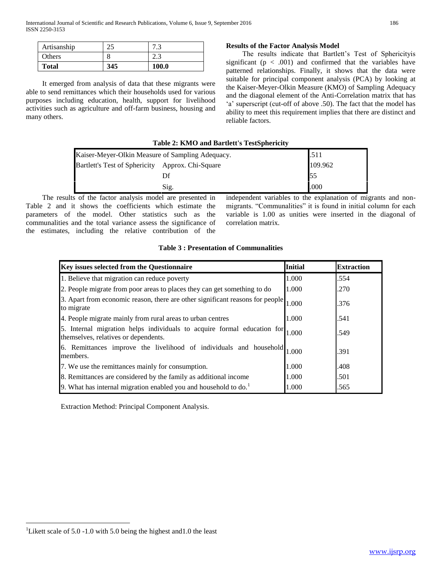| <b>Total</b> | 345 | <b>100.0</b> |
|--------------|-----|--------------|
| Others       |     | 2.3          |
| Artisanship  | つぐ  | 7.3          |

 It emerged from analysis of data that these migrants were able to send remittances which their households used for various purposes including education, health, support for livelihood activities such as agriculture and off-farm business, housing and many others.

## **Results of the Factor Analysis Model**

 The results indicate that Bartlett's Test of Sphericityis significant ( $p < .001$ ) and confirmed that the variables have patterned relationships. Finally, it shows that the data were suitable for principal component analysis (PCA) by looking at the Kaiser-Meyer-Olkin Measure (KMO) of Sampling Adequacy and the diagonal element of the Anti-Correlation matrix that has 'a' superscript (cut-off of above .50). The fact that the model has ability to meet this requirement implies that there are distinct and reliable factors.

## **Table 2: KMO and Bartlett's TestSphericity**

| Kaiser-Meyer-Olkin Measure of Sampling Adequacy. |      | .511    |
|--------------------------------------------------|------|---------|
| Bartlett's Test of Sphericity Approx. Chi-Square |      | 109.962 |
|                                                  | Df   | 55      |
|                                                  | Sig. | .000    |
|                                                  |      |         |

 The results of the factor analysis model are presented in Table 2 and it shows the coefficients which estimate the parameters of the model. Other statistics such as the communalities and the total variance assess the significance of the estimates, including the relative contribution of the independent variables to the explanation of migrants and nonmigrants. "Communalities" it is found in initial column for each variable is 1.00 as unities were inserted in the diagonal of correlation matrix.

## **Table 3 : Presentation of Communalities**

| Key issues selected from the Questionnaire                                                                      | <b>Initial</b> | <b>Extraction</b> |
|-----------------------------------------------------------------------------------------------------------------|----------------|-------------------|
| 1. Believe that migration can reduce poverty                                                                    | 1.000          | .554              |
| 2. People migrate from poor areas to places they can get something to do                                        | 1.000          | .270              |
| 3. Apart from economic reason, there are other significant reasons for people<br>to migrate                     | 1.000          | .376              |
| 4. People migrate mainly from rural areas to urban centres                                                      | 1.000          | .541              |
| 5. Internal migration helps individuals to acquire formal education for<br>themselves, relatives or dependents. | 1.000          | .549              |
| 6. Remittances improve the livelihood of individuals and household<br>members.                                  | 1.000          | .391              |
| 7. We use the remittances mainly for consumption.                                                               | 1.000          | .408              |
| 8. Remittances are considered by the family as additional income                                                | 1.000          | .501              |
| 9. What has internal migration enabled you and household to do. $1$                                             | 1.000          | .565              |

Extraction Method: Principal Component Analysis.

 $\overline{a}$ 

<sup>&</sup>lt;sup>1</sup>Likett scale of 5.0 -1.0 with 5.0 being the highest and 1.0 the least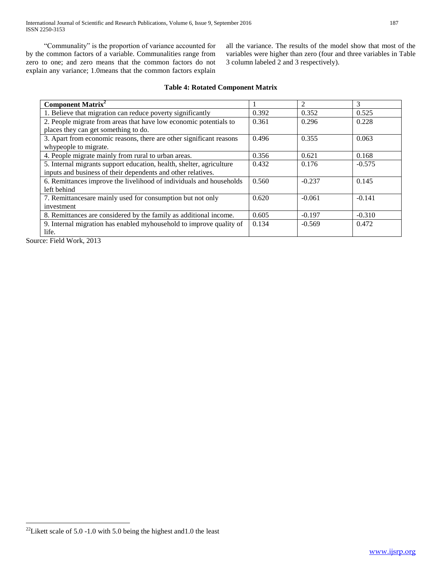"Communality" is the proportion of variance accounted for by the common factors of a variable. Communalities range from zero to one; and zero means that the common factors do not explain any variance; 1.0means that the common factors explain all the variance. The results of the model show that most of the variables were higher than zero (four and three variables in Table 3 column labeled 2 and 3 respectively).

## **Table 4: Rotated Component Matrix**

| Component Matrix <sup>2</sup>                                        |       | 2        | 3        |
|----------------------------------------------------------------------|-------|----------|----------|
| 1. Believe that migration can reduce poverty significantly           | 0.392 | 0.352    | 0.525    |
| 2. People migrate from areas that have low economic potentials to    | 0.361 | 0.296    | 0.228    |
| places they can get something to do.                                 |       |          |          |
| 3. Apart from economic reasons, there are other significant reasons  | 0.496 | 0.355    | 0.063    |
| whypeople to migrate.                                                |       |          |          |
| 4. People migrate mainly from rural to urban areas.                  | 0.356 | 0.621    | 0.168    |
| 5. Internal migrants support education, health, shelter, agriculture | 0.432 | 0.176    | $-0.575$ |
| inputs and business of their dependents and other relatives.         |       |          |          |
| 6. Remittances improve the livelihood of individuals and households  | 0.560 | $-0.237$ | 0.145    |
| left behind                                                          |       |          |          |
| 7. Remittances are mainly used for consumption but not only          | 0.620 | $-0.061$ | $-0.141$ |
| investment                                                           |       |          |          |
| 8. Remittances are considered by the family as additional income.    | 0.605 | $-0.197$ | $-0.310$ |
| 9. Internal migration has enabled myhousehold to improve quality of  | 0.134 | $-0.569$ | 0.472    |
| life.                                                                |       |          |          |

Source: Field Work, 2013

 $\overline{a}$ 

<sup>&</sup>lt;sup>22</sup>Likett scale of 5.0 -1.0 with 5.0 being the highest and 1.0 the least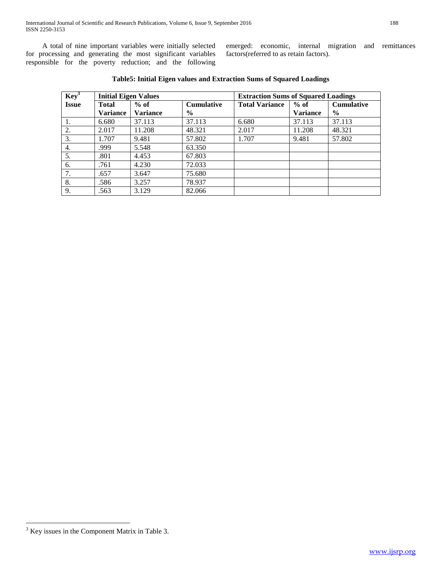4. .999 5.548 63.350 5. .801 4.453 67.803 6. .761 4.230 72.033 7. .657 3.647 75.680 8. .586 3.257 78.937 9. . .563 3.129 82.066

 A total of nine important variables were initially selected for processing and generating the most significant variables responsible for the poverty reduction; and the following

> **Key<sup>3</sup> Issue**

emerged: economic, internal migration and remittances factors(referred to as retain factors).

| Tables, Initial Elgen values and Extraction buills of byjuared Evauings |                             |                 |                   |                                            |                 |                   |
|-------------------------------------------------------------------------|-----------------------------|-----------------|-------------------|--------------------------------------------|-----------------|-------------------|
| Key <sup>3</sup>                                                        | <b>Initial Eigen Values</b> |                 |                   | <b>Extraction Sums of Squared Loadings</b> |                 |                   |
| <b>Issue</b>                                                            | <b>Total</b>                | $%$ of          | <b>Cumulative</b> | <b>Total Variance</b>                      | $%$ of          | <b>Cumulative</b> |
|                                                                         | <b>Variance</b>             | <b>Variance</b> | $\frac{0}{0}$     |                                            | <b>Variance</b> | $\frac{0}{0}$     |
| 1.                                                                      | 6.680                       | 37.113          | 37.113            | 6.680                                      | 37.113          | 37.113            |
| 2.                                                                      | 2.017                       | 11.208          | 48.321            | 2.017                                      | 11.208          | 48.321            |

**Table5: Initial Eigen values and Extraction Sums of Squared Loadings**

3. 1.707 9.481 57.802 1.707 9.481 57.802

 $\overline{a}$ 

 $3$  Key issues in the Component Matrix in Table 3.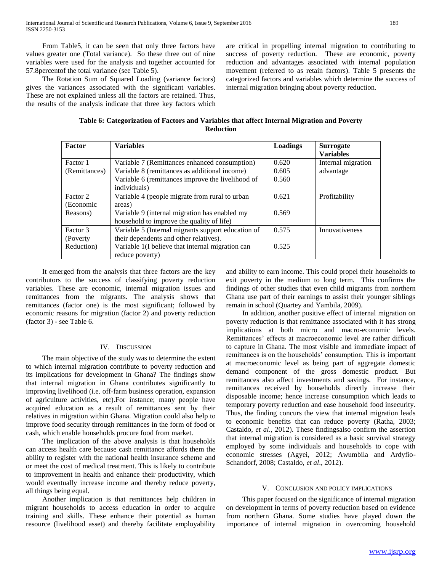From Table5, it can be seen that only three factors have values greater one (Total variance). So these three out of nine variables were used for the analysis and together accounted for 57.8percentof the total variance (see Table 5).

 The Rotation Sum of Squared Loading (variance factors) gives the variances associated with the significant variables. These are not explained unless all the factors are retained. Thus, the results of the analysis indicate that three key factors which are critical in propelling internal migration to contributing to success of poverty reduction. These are economic, poverty reduction and advantages associated with internal population movement (referred to as retain factors). Table 5 presents the categorized factors and variables which determine the success of internal migration bringing about poverty reduction.

**Table 6: Categorization of Factors and Variables that affect Internal Migration and Poverty Reduction**

| <b>Factor</b> | <b>Variables</b>                                   | Loadings | <b>Surrogate</b><br><b>Variables</b> |
|---------------|----------------------------------------------------|----------|--------------------------------------|
| Factor 1      | Variable 7 (Remittances enhanced consumption)      | 0.620    | Internal migration                   |
| (Remittances) | Variable 8 (remittances as additional income)      | 0.605    | advantage                            |
|               | Variable 6 (remittances improve the livelihood of  | 0.560    |                                      |
|               | individuals)                                       |          |                                      |
| Factor 2      | Variable 4 (people migrate from rural to urban     | 0.621    | Profitability                        |
| (Economic     | areas)                                             |          |                                      |
| Reasons)      | Variable 9 (internal migration has enabled my      | 0.569    |                                      |
|               | household to improve the quality of life)          |          |                                      |
| Factor 3      | Variable 5 (Internal migrants support education of | 0.575    | Innovativeness                       |
| (Poverty)     | their dependents and other relatives).             |          |                                      |
| Reduction)    | Variable 1(I believe that internal migration can   | 0.525    |                                      |
|               | reduce poverty)                                    |          |                                      |

 It emerged from the analysis that three factors are the key contributors to the success of classifying poverty reduction variables. These are economic, internal migration issues and remittances from the migrants. The analysis shows that remittances (factor one) is the most significant; followed by economic reasons for migration (factor 2) and poverty reduction (factor 3) - see Table 6.

#### IV. DISCUSSION

 The main objective of the study was to determine the extent to which internal migration contribute to poverty reduction and its implications for development in Ghana? The findings show that internal migration in Ghana contributes significantly to improving livelihood (i.e. off-farm business operation, expansion of agriculture activities, etc).For instance; many people have acquired education as a result of remittances sent by their relatives in migration within Ghana. Migration could also help to improve food security through remittances in the form of food or cash, which enable households procure food from market.

 The implication of the above analysis is that households can access health care because cash remittance affords them the ability to register with the national health insurance scheme and or meet the cost of medical treatment. This is likely to contribute to improvement in health and enhance their productivity, which would eventually increase income and thereby reduce poverty, all things being equal.

 Another implication is that remittances help children in migrant households to access education in order to acquire training and skills. These enhance their potential as human resource (livelihood asset) and thereby facilitate employability and ability to earn income. This could propel their households to exit poverty in the medium to long term. This confirms the findings of other studies that even child migrants from northern Ghana use part of their earnings to assist their younger siblings remain in school (Quartey and Yambila, 2009).

 In addition, another positive effect of internal migration on poverty reduction is that remittance associated with it has strong implications at both micro and macro-economic levels. Remittances' effects at macroeconomic level are rather difficult to capture in Ghana. The most visible and immediate impact of remittances is on the households' consumption. This is important at macroeconomic level as being part of aggregate domestic demand component of the gross domestic product. But remittances also affect investments and savings. For instance, remittances received by households directly increase their disposable income; hence increase consumption which leads to temporary poverty reduction and ease household food insecurity. Thus, the finding concurs the view that internal migration leads to economic benefits that can reduce poverty (Ratha, 2003; Castaldo, *et al*., 2012). These findingsalso confirm the assertion that internal migration is considered as a basic survival strategy employed by some individuals and households to cope with economic stresses (Agyei, 2012; Awumbila and Ardyfio-Schandorf, 2008; Castaldo, *et al*., 2012).

#### V. CONCLUSION AND POLICY IMPLICATIONS

 This paper focused on the significance of internal migration on development in terms of poverty reduction based on evidence from northern Ghana. Some studies have played down the importance of internal migration in overcoming household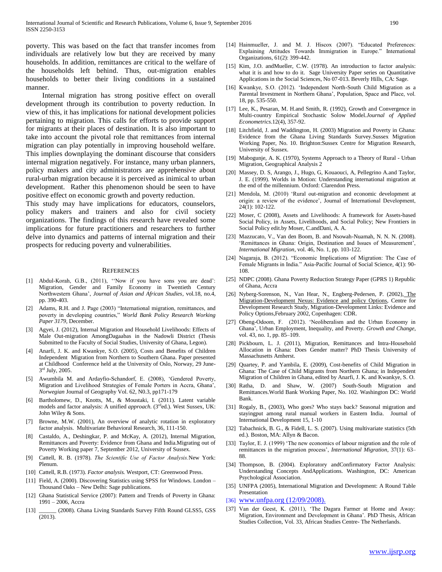poverty. This was based on the fact that transfer incomes from individuals are relatively low but they are received by many households. In addition, remittances are critical to the welfare of the households left behind. Thus, out-migration enables households to better their living conditions in a sustained manner.

 Internal migration has strong positive effect on overall development through its contribution to poverty reduction. In view of this, it has implications for national development policies pertaining to migration. This calls for efforts to provide support for migrants at their places of destination. It is also important to take into account the pivotal role that remittances from internal migration can play potentially in improving household welfare. This implies downplaying the dominant discourse that considers internal migration negatively. For instance, many urban planners, policy makers and city administrators are apprehensive about rural-urban migration because it is perceived as inimical to urban development. Rather this phenomenon should be seen to have positive effect on economic growth and poverty reduction.

This study may have implications for educators, counselors, policy makers and trainers and also for civil society organizations. The findings of this research have revealed some implications for future practitioners and researchers to further delve into dynamics and patterns of internal migration and their prospects for reducing poverty and vulnerabilities.

#### **REFERENCES**

- [1] Abdul-Korah, G.B., (2011), ''Now if you have sons you are dead': Migration, Gender and Family Economy in Twentieth Century Northwestern Ghana', *Journal of Asian and African Studies*, vol.18, no.4, pp. 390-403.
- [2] Adams, R.H. and J. Page (2003) "International migration, remittances, and poverty in developing countries," *World Bank Policy Research Working Paper 3179*, December.
- [3] Agyei, J. (2012), Internal Migration and Household Livelihoods: Effects of Male Out-migration AmongDagaabas in the Nadowli District (Thesis Submitted to the Faculty of Social Studies, University of Ghana, Legon).
- [4] Anarfi, J. K. and Kwankye, S.O. (2005), Costs and Benefits of Children Independent Migration from Northern to Southern Ghana. Paper presented at Childhood Conference held at the University of Oslo, Norway, 29 June-3<sup>rd</sup> July, 2005.
- [5] Awumbila M. and Ardayfio-Schandorf, E. (2008), 'Gendered Poverty, Migration and Livelihood Strategies of Female Porters in Accra, Ghana', *Norwegian* Journal of Geography Vol. 62, N0.3, pp171-179
- [6] Bartholomew, D., Knotts, M., & Moustaki, I. (2011). Latent variable models and factor analysis: A unified *approach*. (3rded.). West Sussex, UK: John Wiley & Sons.
- [7] Browne, M.W. (2001), An overview of analytic rotation in exploratory factor analysis. Multivariate Behavioral Research, 36, 111-150.
- [8] Castaldo, A., Deshingkar, P. and McKay, A. (2012), Internal Migration, Remittances and Poverty: Evidence from Ghana and India.Migrating out of Poverty Working paper 7, September 2012, University of Sussex.
- [9] Cattell, R. B. (1978). *The Scientific Use of Factor Analysis.*New York: Plenum.
- [10] Cattell, R.B. (1973). *Factor analysis.* Westport, CT: Greenwood Press.
- [11] Field, A. (2000). Discovering Statistics using SPSS for Windows. London Thousand Oaks – New Delhi: Sage publications.
- [12] Ghana Statistical Service (2007): Pattern and Trends of Poverty in Ghana: 1991 – 2006, Accra
- [13] \_\_\_\_\_\_ (2008). Ghana Living Standards Survey Fifth Round GLSS5, GSS (2013).
- [14] Hainmueller, J. and M. J. Hiscox (2007). "Educated Preferences: Explaining Attitudes Towards Immigration in Europe." International Organizations, 61(2): 399-442.
- [15] Kim, J.O. andMueller, C.W. (1978). An introduction to factor analysis: what it is and how to do it. Sage University Paper series on Quantitative Applications in the Social Sciences, No 07-013. Beverly Hills, CA: Sage.
- [16] Kwankye, S.O. (2012). 'Independent North-South Child Migration as a Parental Investment in Northern Ghana', Population, Space and Place, vol. 18, pp. 535-550.
- [17] Lee, K., Pesaran, M. H.and Smith, R. (1992), Growth and Convergence in Multi-country Empirical Stochastic Solow Model.*Journal of Applied Econometrics*.12(4), 357-92.
- [18] Litchfield, J. and Waddington, H. (2003) Migration and Poverty in Ghana: Evidence from the Ghana Living Standards Survey.Sussex Migration Working Paper, No. 10. Brighton:Sussex Centre for Migration Research, University of Sussex.
- [19] Mabogunje, A. K. (1970), Systems Approach to a Theory of Rural Urban Migration, Geographical Analysis 2
- [20] Massey, D. S, Arango, J., Hugo, G, Kouaouci, A, Pellegrino A.and Taylor, J. E. (1999). Worlds in Motion: Understanding international migration at the end of the millennium. Oxford: Clarendon Press.
- [21] Mendola, M. (2010) 'Rural out-migration and economic development at origin: a review of the evidence', Journal of International Development, 24(1): 102-122.
- [22] Moser, C (2008), Assets and Livelihoods: A framework for Assets-based Social Policy, in Assets, Livelihoods, and Social Policy; New Frontiers in Social Policy edit.by Moser, C.andDani, A. A.
- [23] Mazzucato, V., Van den Boom, B. and Nsowah-Nuamah, N. N. N. (2008). 'Remittances in Ghana: Origin, Destination and Issues of Measurement', *International Migration*, vol. 46, No. 1, pp. 103-122.
- [24] Nagaraja, B. (2012). "Economic Implications of Migration: The Case of Female Migrants in India." Asia-Pacific Journal of Social Science, 4(1): 90- 108.
- [25] NDPC (2008). Ghana Poverty Reduction Strategy Paper (GPRS 1) Republic of Ghana, Accra
- [26] Nyberg-Sorenson, N., Van Hear, N., Engberg-Pedersen, P. (2002), The Migration-Development Nexus: Evidence and policy Options, Centre for Development Research Study, Migration-Development Links: Evidence and Policy Options,February 2002, Copenhagen: CDR.
- [27] Obeng-Odoom, F. (2012). 'Neoliberalism and the Urban Economy in Ghana', Urban Employment, Inequality, and Poverty. *Growth and Change*, vol. 43, no. 1, pp. 85–109.
- [28] Pickbourn, L. J. (2011), Migration, Remittances and Intra-Household Allocation in Ghana: Does Gender matter? PhD Thesis University of Massachusetts Amherst.
- [29] Quartey, P. and Yambila, E. (2009), Cost-benefits of Child Migration in Ghana: The Case of Child Migrants from Northern Ghana; in Independent Migration of Children in Ghana, edited by Anarfi, J. K. and Kwankye, S. O.
- [30] Ratha, D. and Shaw, W. (2007) South-South Migration and Remittances.World Bank Working Paper, No. 102. Washington DC: World Bank.
- [31] Rogaly, B., (2003), Who goes? Who stays back? Seasonal migration and stayingput among rural manual workers in Eastern India. Journal of International Development 15, 1-10
- [32] Tabachnick, B. G., & Fidell, L. S. (2007). Using multivariate statistics (5th ed.). Boston, MA: Allyn & Bacon.
- [33] Taylor, E. J. (1999) 'The new economics of labour migration and the role of remittances in the migration process', *International Migration*, 37(1): 63– 88.
- [34] Thompson, B. (2004). Exploratory andConfirmatory Factor Analysis: Understanding Concepts AndApplications. Washington, DC: American Psychological Association.
- [35] UNFPA (2005), International Migration and Development: A Round Table Presentation
- [36] [www.unfpa.org](http://www.unfpa.org/) (12/09/2008).
- [37] Van der Geest, K. (2011), 'The Dagara Farmer at Home and Away: Migration, Environment and Development in Ghana'. PhD Thesis, African Studies Collection, Vol. 33, African Studies Centre- The Netherlands.